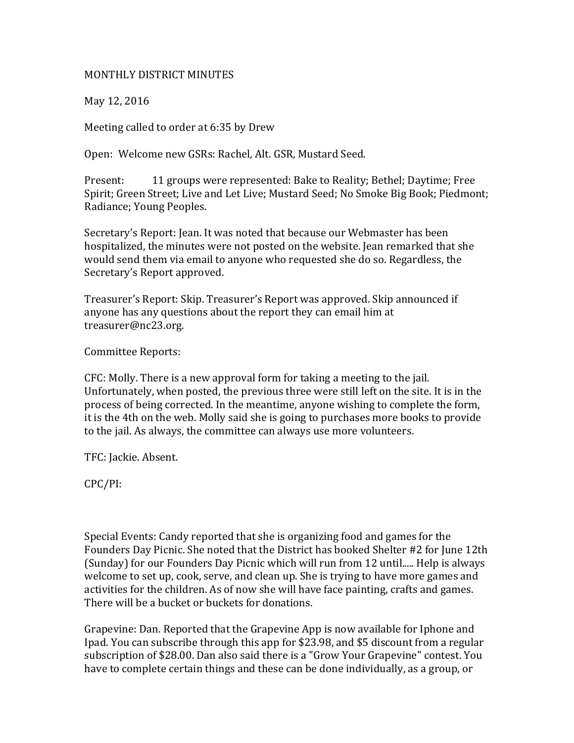## MONTHLY DISTRICT MINUTES

May 12, 2016

Meeting called to order at 6:35 by Drew

Open: Welcome new GSRs: Rachel, Alt. GSR, Mustard Seed.

Present: 11 groups were represented: Bake to Reality; Bethel; Daytime; Free Spirit; Green Street; Live and Let Live; Mustard Seed; No Smoke Big Book; Piedmont; Radiance; Young Peoples.

Secretary's Report: Jean. It was noted that because our Webmaster has been hospitalized, the minutes were not posted on the website. Jean remarked that she would send them via email to anyone who requested she do so. Regardless, the Secretary's Report approved.

Treasurer's Report: Skip. Treasurer's Report was approved. Skip announced if anyone has any questions about the report they can email him at treasurer@nc23.org.

Committee Reports:

CFC: Molly. There is a new approval form for taking a meeting to the jail. Unfortunately, when posted, the previous three were still left on the site. It is in the process of being corrected. In the meantime, anyone wishing to complete the form, it is the 4th on the web. Molly said she is going to purchases more books to provide to the jail. As always, the committee can always use more volunteers.

TFC: Jackie. Absent.

CPC/PI:

Special Events: Candy reported that she is organizing food and games for the Founders Day Picnic. She noted that the District has booked Shelter #2 for June 12th (Sunday) for our Founders Day Picnic which will run from 12 until..... Help is always welcome to set up, cook, serve, and clean up. She is trying to have more games and activities for the children. As of now she will have face painting, crafts and games. There will be a bucket or buckets for donations.

Grapevine: Dan. Reported that the Grapevine App is now available for Iphone and Ipad. You can subscribe through this app for \$23.98, and \$5 discount from a regular subscription of \$28.00. Dan also said there is a "Grow Your Grapevine" contest. You have to complete certain things and these can be done individually, as a group, or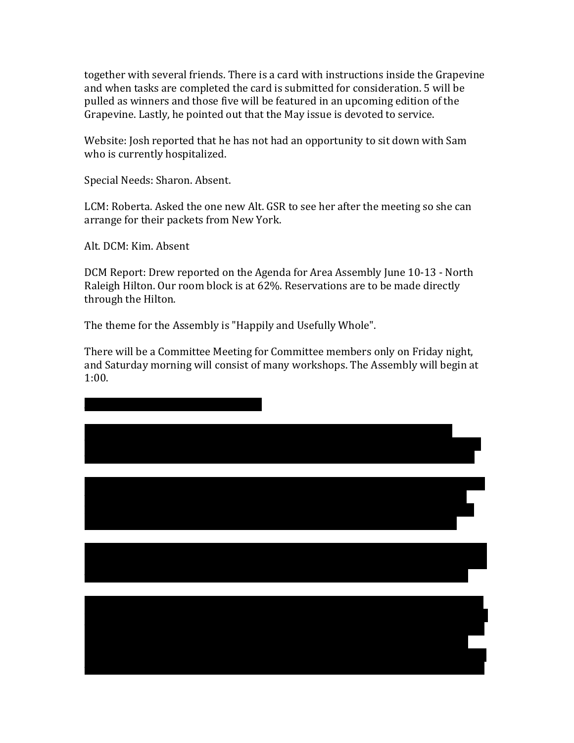together with several friends. There is a card with instructions inside the Grapevine and when tasks are completed the card is submitted for consideration. 5 will be pulled as winners and those five will be featured in an upcoming edition of the Grapevine. Lastly, he pointed out that the May issue is devoted to service.

Website: Josh reported that he has not had an opportunity to sit down with Sam who is currently hospitalized.

Special Needs: Sharon. Absent.

LCM: Roberta. Asked the one new Alt. GSR to see her after the meeting so she can arrange for their packets from New York.

Alt. DCM: Kim. Absent

DCM Report: Drew reported on the Agenda for Area Assembly June 10-13 - North Raleigh Hilton. Our room block is at 62%. Reservations are to be made directly through the Hilton.

The theme for the Assembly is "Happily and Usefully Whole".

There will be a Committee Meeting for Committee members only on Friday night, and Saturday morning will consist of many workshops. The Assembly will begin at 1:00.